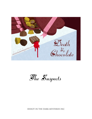



©SHOT IN THE DARK MYSTERIES INC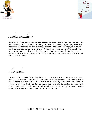



saskia spendlove

Assistant to the great, and now late, Olivier Venesse, Saskia has been working for the "Alchemist of Chocolate" for two years now. She loves her job and, while The Venesses are demanding and expect perfection, she has never enjoyed a job as much as she has working with Olivier. When she got the job with Olivier, she had been working as a waitress trying to save up to go to school. Saskia is a hard worker and was fiercely devoted to Olivier and the continued success of his brand after his retirement.

allie eyden

Eternal optimist Allie Eyden has flown in from across the country to see Olivier Venesse in person – for the second time! Her first session with Olivier was a dream come true for Allie, and she travelled all the way to Switzerland to have a session with him. That was twelve years ago, and she is excited to meet with Olivier again. Allie is soft-spoken and friendly, and is attending the event tonight alone. She is single, and has been for most of her life.

©SHOT IN THE DARK MYSTERIES INC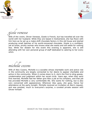



gizele venesse

Wife of the victim, Olivier Venesse, Gizele is French, but has travelled all over the world with her husband. While they are based in Switzerland, she has flown with him here as he set up a make-shift chocolate factory in this old house and started producing small batches of his world-renowned chocolate. Gizele is a confident, yet at times, prickly woman who knows what she wants and will settle for nothing less. While her disdain for this event this evening is apparent, she is still attending with her own personal group of staff dedicated to catering to her every whim.

michelle cozens

Wife of Alex Cozens, Michelle is a socialite whose charitable work and active role in the community are largely connected to her desire to appear charitable and active in the community. When it comes down to it, she's the first to sling gossip, condemnation and judgment within her social circle. Years ago, when they were first married, Michelle had her father give Alex a job at his company, and that job has provided Michelle a very comfortable life. She wants for nothing, but is also very concerned with appearances. Wherever Alex goes, she goes, hence her attendance at the party tonight. Michelle received an invitation at Alex's request, and was granted, much to everyone's surprise, a coveted private session with Olivier himself.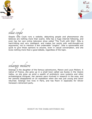



silla coyle

Skeptic Silla Coyle runs a website, debunking people and phenomenon she believes are nothing more than scams. Silla has a huge internet following, and even has her own online television show called "The Truth with Silla". Silla is hard-hitting and very intelligent, and makes her points with well-thought-out arguments, not to mention a few undeniable "zingers". Silla is opinionated and quick to give those opinions to anyone, even in casual conversation, and she loves nothing more than a good debate, regardless of the topic.

solange moliere

Solange is the daughter of the famous adventurers, Manon and Louis Moliere. A native of France, she grew up in a small town called Les Eyzies in the Vezere Valley, so she grew up amid a wealth of prehistoric cave systems and other archaeological intrigues. Her parents were involved in research in the area, and her parents disappeared on an expedition when she was just young and never returned. Solange now lives in Paris, and has flown in especially for Olivier Venesse's retirement party.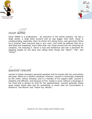



oscar díbh

Oscar Dibble is a professional – an executive in the airline industry. He has a large career, a large bank account and an ego bigger than both. Oscar is condescending, especially when he thinks he's being funny, and genuinely thinks he is smarter than everyone else in any room. And while he believes that he is well-liked and respected, more often than not, those around him are enduring his company, not enjoying it. Oscar is loud and boisterous and has a penchant for slapping people on the back and calling them things like "Sport", "Pal", and "Honey".

## laurent vincent

Laurent is Gizele Venesse's personal assistant and he travels with her everywhere she goes. While he is Gizele's assistant, however, Laurent is technically employed by the victim, Olivier Venesse, and is a member of his support staff. Laurent is obedient and efficient, and because of him, Gizele is never without a beverage in her hand and is always on time for her appointments. Laurent generally keeps quiet unless Gizele asks him for something, in which case his conversation is limited to "Yes Ma'am" and "Thank You, Ma'am".